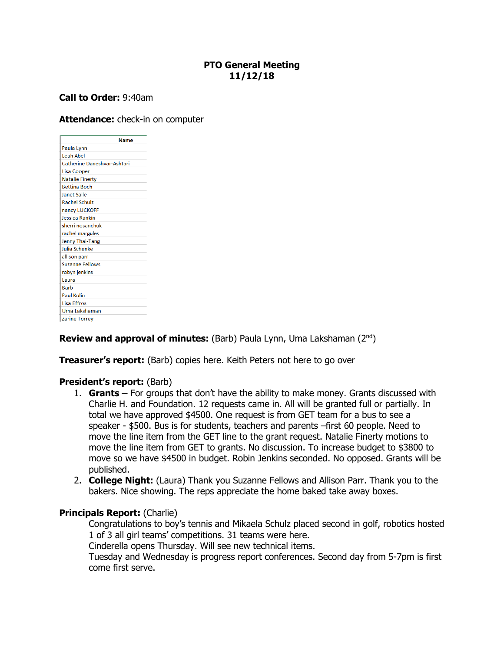## **PTO General Meeting 11/12/18**

# **Call to Order:** 9:40am

### **Attendance:** check-in on computer

| <b>Name</b>                        |
|------------------------------------|
| Paula Lynn                         |
| Leah Abel                          |
| <b>Catherine Daneshvar-Ashtari</b> |
| <b>Lisa Cooper</b>                 |
| <b>Natalie Finerty</b>             |
| <b>Bettina Boch</b>                |
| <b>Janet Salle</b>                 |
| <b>Rachel Schulz</b>               |
| nancy LUCKOFF                      |
| Jessica Rankin                     |
| sherri nosanchuk                   |
| rachel margules                    |
| Jenny Thai-Tang                    |
| Julia Schenke                      |
| allison parr                       |
| <b>Suzanne Fellows</b>             |
| robyn jenkins                      |
| Laura                              |
| <b>Barb</b>                        |
| <b>Paul Kolin</b>                  |
| <b>Lisa Effros</b>                 |
| Uma Lakshaman                      |
| <b>Zarine Torrey</b>               |

### **Review and approval of minutes:** (Barb) Paula Lynn, Uma Lakshaman (2<sup>nd</sup>)

#### **Treasurer's report:** (Barb) copies here. Keith Peters not here to go over

#### **President's report:** (Barb)

- 1. **Grants –** For groups that don't have the ability to make money. Grants discussed with Charlie H. and Foundation. 12 requests came in. All will be granted full or partially. In total we have approved \$4500. One request is from GET team for a bus to see a speaker - \$500. Bus is for students, teachers and parents –first 60 people. Need to move the line item from the GET line to the grant request. Natalie Finerty motions to move the line item from GET to grants. No discussion. To increase budget to \$3800 to move so we have \$4500 in budget. Robin Jenkins seconded. No opposed. Grants will be published.
- 2. **College Night:** (Laura) Thank you Suzanne Fellows and Allison Parr. Thank you to the bakers. Nice showing. The reps appreciate the home baked take away boxes.

#### **Principals Report: (Charlie)**

Congratulations to boy's tennis and Mikaela Schulz placed second in golf, robotics hosted 1 of 3 all girl teams' competitions. 31 teams were here.

Cinderella opens Thursday. Will see new technical items.

Tuesday and Wednesday is progress report conferences. Second day from 5-7pm is first come first serve.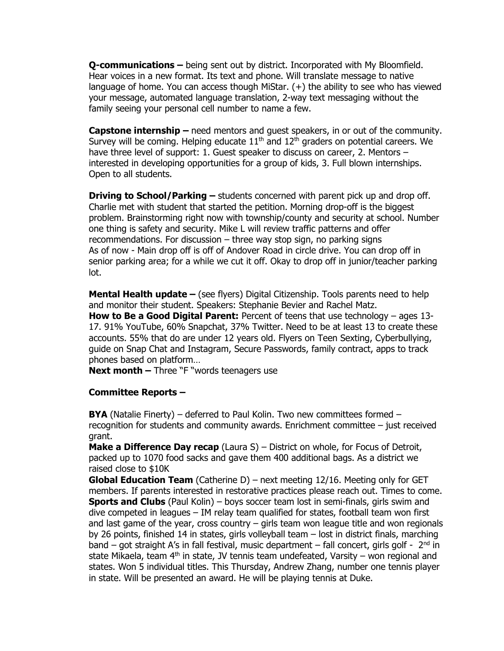**Q-communications –** being sent out by district. Incorporated with My Bloomfield. Hear voices in a new format. Its text and phone. Will translate message to native language of home. You can access though MiStar. (+) the ability to see who has viewed your message, automated language translation, 2-way text messaging without the family seeing your personal cell number to name a few.

**Capstone internship –** need mentors and guest speakers, in or out of the community. Survey will be coming. Helping educate  $11<sup>th</sup>$  and  $12<sup>th</sup>$  graders on potential careers. We have three level of support: 1. Guest speaker to discuss on career, 2. Mentors – interested in developing opportunities for a group of kids, 3. Full blown internships. Open to all students.

**Driving to School/Parking –** students concerned with parent pick up and drop off. Charlie met with student that started the petition. Morning drop-off is the biggest problem. Brainstorming right now with township/county and security at school. Number one thing is safety and security. Mike L will review traffic patterns and offer recommendations. For discussion – three way stop sign, no parking signs As of now - Main drop off is off of Andover Road in circle drive. You can drop off in senior parking area; for a while we cut it off. Okay to drop off in junior/teacher parking lot.

**Mental Health update –** (see flyers) Digital Citizenship. Tools parents need to help and monitor their student. Speakers: Stephanie Bevier and Rachel Matz.

**How to Be a Good Digital Parent:** Percent of teens that use technology – ages 13- 17. 91% YouTube, 60% Snapchat, 37% Twitter. Need to be at least 13 to create these accounts. 55% that do are under 12 years old. Flyers on Teen Sexting, Cyberbullying, guide on Snap Chat and Instagram, Secure Passwords, family contract, apps to track phones based on platform…

**Next month –** Three "F "words teenagers use

### **Committee Reports –**

**BYA** (Natalie Finerty) – deferred to Paul Kolin. Two new committees formed – recognition for students and community awards. Enrichment committee – just received grant.

**Make a Difference Day recap** (Laura S) – District on whole, for Focus of Detroit, packed up to 1070 food sacks and gave them 400 additional bags. As a district we raised close to \$10K

**Global Education Team** (Catherine D) – next meeting 12/16. Meeting only for GET members. If parents interested in restorative practices please reach out. Times to come. **Sports and Clubs** (Paul Kolin) – boys soccer team lost in semi-finals, girls swim and dive competed in leagues – IM relay team qualified for states, football team won first and last game of the year, cross country – girls team won league title and won regionals by 26 points, finished 14 in states, girls volleyball team – lost in district finals, marching band – got straight A's in fall festival, music department – fall concert, girls golf -  $2<sup>nd</sup>$  in state Mikaela, team  $4<sup>th</sup>$  in state, JV tennis team undefeated, Varsity – won regional and states. Won 5 individual titles. This Thursday, Andrew Zhang, number one tennis player in state. Will be presented an award. He will be playing tennis at Duke.